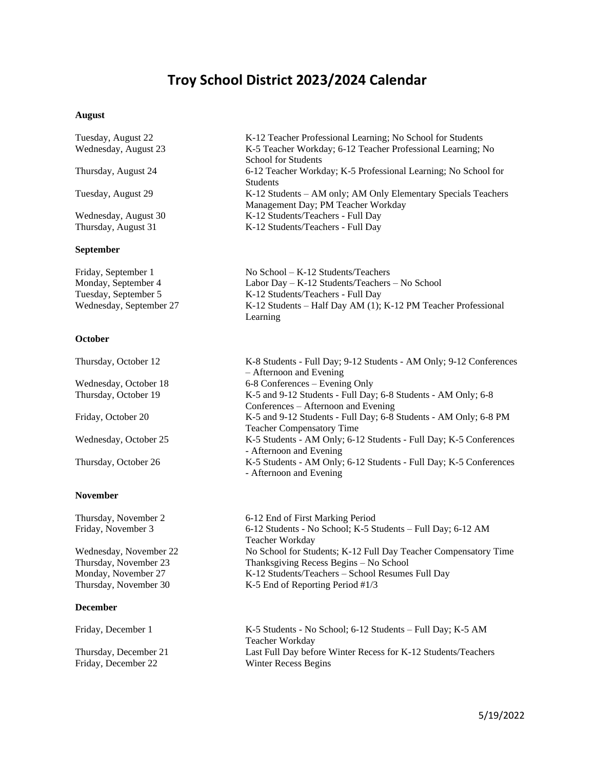## **Troy School District 2023/2024 Calendar**

### **August**

Tuesday, August 22 K-12 Teacher Professional Learning; No School for Students Wednesday, August 23 K-5 Teacher Workday; 6-12 Teacher Professional Learning; No School for Students Thursday, August 24 6-12 Teacher Workday; K-5 Professional Learning; No School for Students

Tuesday, August 29 K-12 Students – AM only; AM Only Elementary Specials Teachers

Wednesday, August 30 K-12 Students/Teachers - Full Day Thursday, August 31 K-12 Students/Teachers - Full Day

### **September**

| pepicinoci              |                                                               |
|-------------------------|---------------------------------------------------------------|
| Friday, September 1     | No School $-K-12$ Students/Teachers                           |
| Monday, September 4     | Labor Day $-$ K-12 Students/Teachers $-$ No School            |
| Tuesday, September 5    | K-12 Students/Teachers - Full Day                             |
| Wednesday, September 27 | K-12 Students – Half Day AM (1); K-12 PM Teacher Professional |
|                         | Learning                                                      |

Management Day; PM Teacher Workday

### **October**

**November** 

**December** 

| Thursday, October 12  | K-8 Students - Full Day; 9-12 Students - AM Only; 9-12 Conferences |
|-----------------------|--------------------------------------------------------------------|
|                       | - Afternoon and Evening                                            |
| Wednesday, October 18 | 6-8 Conferences – Evening Only                                     |
| Thursday, October 19  | K-5 and 9-12 Students - Full Day; 6-8 Students - AM Only; 6-8      |
|                       | Conferences – Afternoon and Evening                                |
| Friday, October 20    | K-5 and 9-12 Students - Full Day; 6-8 Students - AM Only; 6-8 PM   |
|                       | <b>Teacher Compensatory Time</b>                                   |
| Wednesday, October 25 | K-5 Students - AM Only; 6-12 Students - Full Day; K-5 Conferences  |
|                       | - Afternoon and Evening                                            |
| Thursday, October 26  | K-5 Students - AM Only; 6-12 Students - Full Day; K-5 Conferences  |
|                       | - Afternoon and Evening                                            |
|                       |                                                                    |

## Thursday, November 2 6-12 End of First Marking Period Friday, November 3 6-12 Students - No School; K-5 Students – Full Day; 6-12 AM Teacher Workday Wednesday, November 22 No School for Students; K-12 Full Day Teacher Compensatory Time Thursday, November 23 Thanksgiving Recess Begins – No School Monday, November 27 K-12 Students/Teachers – School Resumes Full Day Thursday, November 30 K-5 End of Reporting Period #1/3

Friday, December 1 K-5 Students - No School; 6-12 Students – Full Day; K-5 AM Teacher Workday Thursday, December 21 Last Full Day before Winter Recess for K-12 Students/Teachers Friday, December 22 Winter Recess Begins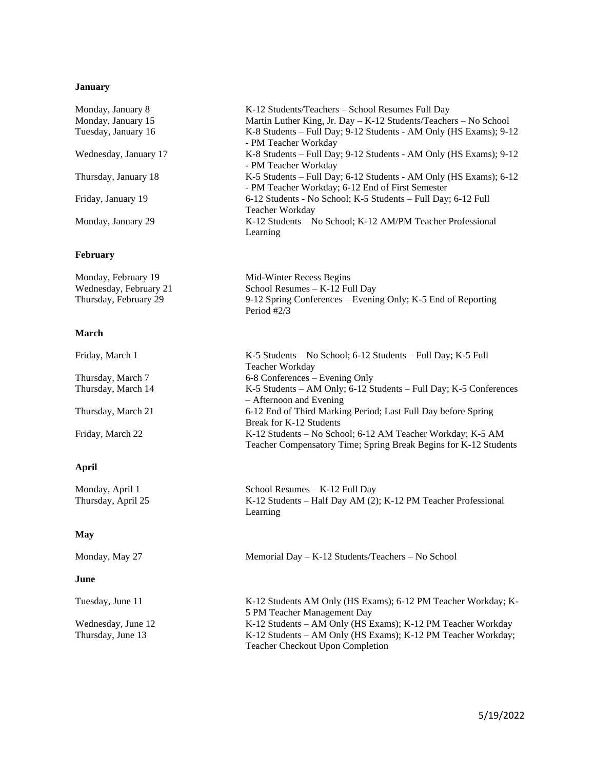## **January**

| Monday, January 8     | K-12 Students/Teachers – School Resumes Full Day                                                                      |
|-----------------------|-----------------------------------------------------------------------------------------------------------------------|
| Monday, January 15    | Martin Luther King, Jr. Day $-$ K-12 Students/Teachers $-$ No School                                                  |
| Tuesday, January 16   | K-8 Students – Full Day; 9-12 Students - AM Only (HS Exams); 9-12<br>- PM Teacher Workday                             |
| Wednesday, January 17 | K-8 Students – Full Day; 9-12 Students - AM Only (HS Exams); 9-12<br>- PM Teacher Workday                             |
| Thursday, January 18  | K-5 Students – Full Day; 6-12 Students - AM Only (HS Exams); 6-12<br>- PM Teacher Workday; 6-12 End of First Semester |
| Friday, January 19    | 6-12 Students - No School; K-5 Students – Full Day; 6-12 Full<br>Teacher Workday                                      |
| Monday, January 29    | K-12 Students - No School; K-12 AM/PM Teacher Professional<br>Learning                                                |

## **February**

| Monday, February 19    | Mid-Winter Recess Begins                                     |
|------------------------|--------------------------------------------------------------|
| Wednesday, February 21 | School Resumes $-$ K-12 Full Day                             |
| Thursday, February 29  | 9-12 Spring Conferences – Evening Only; K-5 End of Reporting |
|                        | Period $\#2/3$                                               |

## **March**

| Friday, March 1    | K-5 Students – No School; 6-12 Students – Full Day; K-5 Full<br>Teacher Workday                                                |
|--------------------|--------------------------------------------------------------------------------------------------------------------------------|
| Thursday, March 7  | 6-8 Conferences – Evening Only                                                                                                 |
| Thursday, March 14 | K-5 Students – AM Only; 6-12 Students – Full Day; K-5 Conferences<br>$-$ Afternoon and Evening                                 |
| Thursday, March 21 | 6-12 End of Third Marking Period; Last Full Day before Spring<br>Break for K-12 Students                                       |
| Friday, March 22   | K-12 Students - No School; 6-12 AM Teacher Workday; K-5 AM<br>Teacher Compensatory Time; Spring Break Begins for K-12 Students |

## **April**

| Monday, April 1<br>Thursday, April 25 | School Resumes $-K-12$ Full Day<br>K-12 Students – Half Day AM (2); K-12 PM Teacher Professional<br>Learning |
|---------------------------------------|--------------------------------------------------------------------------------------------------------------|
| May                                   |                                                                                                              |

Monday, May 27 Memorial Day – K-12 Students/Teachers – No School

| June               |                                                               |
|--------------------|---------------------------------------------------------------|
| Tuesday, June 11   | K-12 Students AM Only (HS Exams); 6-12 PM Teacher Workday; K- |
|                    | 5 PM Teacher Management Day                                   |
| Wednesday, June 12 | K-12 Students – AM Only (HS Exams); K-12 PM Teacher Workday   |
| Thursday, June 13  | K-12 Students – AM Only (HS Exams); K-12 PM Teacher Workday;  |
|                    | <b>Teacher Checkout Upon Completion</b>                       |